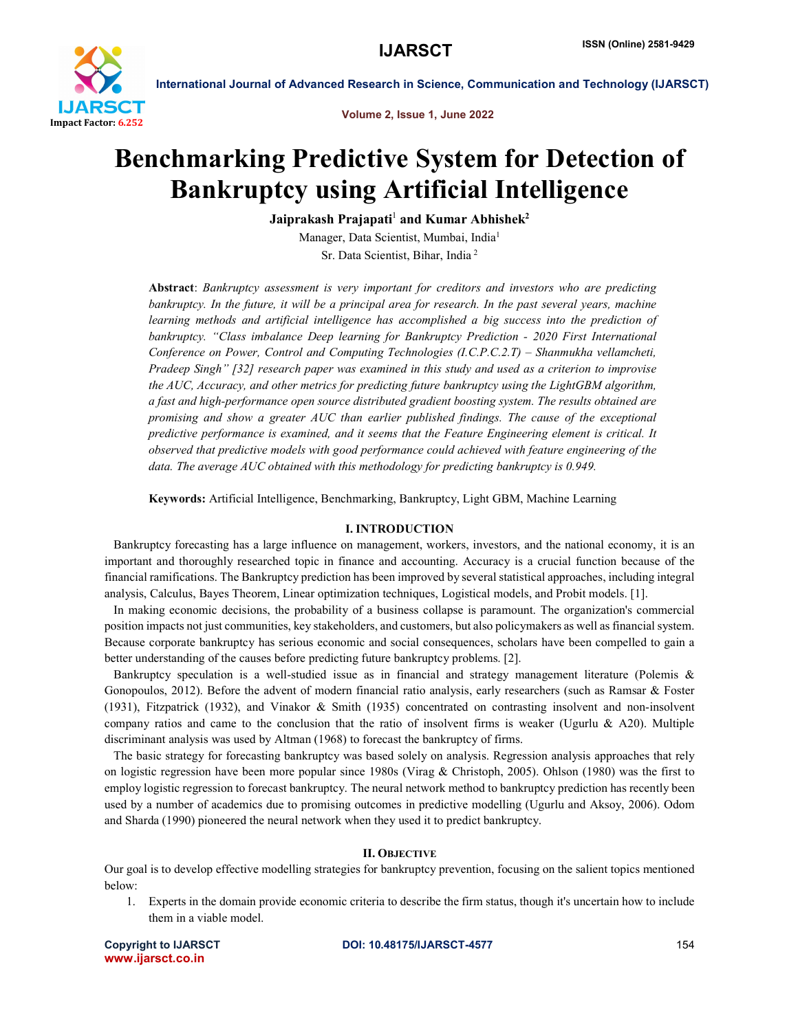

Volume 2, Issue 1, June 2022

# Benchmarking Predictive System for Detection of Bankruptcy using Artificial Intelligence

Jaiprakash Prajapati<sup>1</sup> and Kumar Abhishek<sup>2</sup>

Manager, Data Scientist, Mumbai, India1 Sr. Data Scientist, Bihar, India <sup>2</sup>

Abstract: *Bankruptcy assessment is very important for creditors and investors who are predicting bankruptcy. In the future, it will be a principal area for research. In the past several years, machine* learning methods and artificial intelligence has accomplished a big success into the prediction of *bankruptcy. "Class imbalance Deep learning for Bankruptcy Prediction - 2020 First International Conference on Power, Control and Computing Technologies (I.C.P.C.2.T) – Shanmukha vellamcheti, Pradeep Singh" [32] research paper was examined in this study and used as a criterion to improvise the AUC, Accuracy, and other metrics for predicting future bankruptcy using the LightGBM algorithm, a fast and high-performance open source distributed gradient boosting system. The results obtained are promising and show a greater AUC than earlier published findings. The cause of the exceptional predictive performance is examined, and it seems that the Feature Engineering element is critical. It observed that predictive models with good performance could achieved with feature engineering of the data. The average AUC obtained with this methodology for predicting bankruptcy is 0.949.*

Keywords: Artificial Intelligence, Benchmarking, Bankruptcy, Light GBM, Machine Learning

#### I. INTRODUCTION

 Bankruptcy forecasting has a large influence on management, workers, investors, and the national economy, it is an important and thoroughly researched topic in finance and accounting. Accuracy is a crucial function because of the financial ramifications. The Bankruptcy prediction has been improved by several statistical approaches, including integral analysis, Calculus, Bayes Theorem, Linear optimization techniques, Logistical models, and Probit models. [1].

 In making economic decisions, the probability of a business collapse is paramount. The organization's commercial position impacts not just communities, key stakeholders, and customers, but also policymakers as well as financial system. Because corporate bankruptcy has serious economic and social consequences, scholars have been compelled to gain a better understanding of the causes before predicting future bankruptcy problems. [2].

 Bankruptcy speculation is a well-studied issue as in financial and strategy management literature (Polemis & Gonopoulos, 2012). Before the advent of modern financial ratio analysis, early researchers (such as Ramsar & Foster (1931), Fitzpatrick (1932), and Vinakor & Smith (1935) concentrated on contrasting insolvent and non-insolvent company ratios and came to the conclusion that the ratio of insolvent firms is weaker (Ugurlu & A20). Multiple discriminant analysis was used by Altman (1968) to forecast the bankruptcy of firms.

 The basic strategy for forecasting bankruptcy was based solely on analysis. Regression analysis approaches that rely on logistic regression have been more popular since 1980s (Virag & Christoph, 2005). Ohlson (1980) was the first to employ logistic regression to forecast bankruptcy. The neural network method to bankruptcy prediction has recently been used by a number of academics due to promising outcomes in predictive modelling (Ugurlu and Aksoy, 2006). Odom and Sharda (1990) pioneered the neural network when they used it to predict bankruptcy.

### II. OBJECTIVE

Our goal is to develop effective modelling strategies for bankruptcy prevention, focusing on the salient topics mentioned below:

1. Experts in the domain provide economic criteria to describe the firm status, though it's uncertain how to include them in a viable model.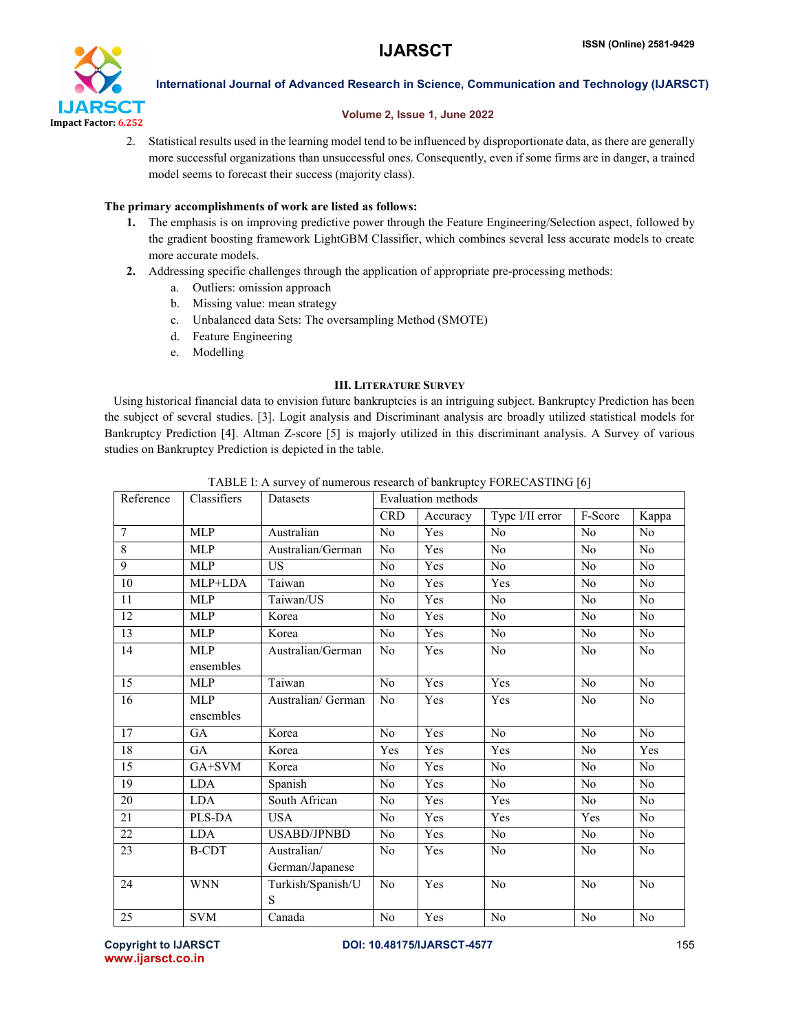

## Volume 2, Issue 1, June 2022

2. Statistical results used in the learning model tend to be influenced by disproportionate data, as there are generally more successful organizations than unsuccessful ones. Consequently, even if some firms are in danger, a trained model seems to forecast their success (majority class).

# The primary accomplishments of work are listed as follows:

- 1. The emphasis is on improving predictive power through the Feature Engineering/Selection aspect, followed by the gradient boosting framework LightGBM Classifier, which combines several less accurate models to create more accurate models.
- 2. Addressing specific challenges through the application of appropriate pre-processing methods:
	- a. Outliers: omission approach
	- b. Missing value: mean strategy
	- c. Unbalanced data Sets: The oversampling Method (SMOTE)
	- d. Feature Engineering
	- e. Modelling

# III. LITERATURE SURVEY

 Using historical financial data to envision future bankruptcies is an intriguing subject. Bankruptcy Prediction has been the subject of several studies. [3]. Logit analysis and Discriminant analysis are broadly utilized statistical models for Bankruptcy Prediction [4]. Altman Z-score [5] is majorly utilized in this discriminant analysis. A Survey of various studies on Bankruptcy Prediction is depicted in the table.

| Reference       | Classifiers   | Datasets           | <b>Evaluation methods</b> |          |                 |                |                |  |
|-----------------|---------------|--------------------|---------------------------|----------|-----------------|----------------|----------------|--|
|                 |               |                    | <b>CRD</b>                | Accuracy | Type I/II error | F-Score        | Kappa          |  |
| $\overline{7}$  | MLP           | Australian         | No                        | Yes      | No              | N <sub>0</sub> | No             |  |
| 8               | <b>MLP</b>    | Australian/German  | No                        | Yes      | N <sub>0</sub>  | N <sub>0</sub> | N <sub>o</sub> |  |
| 9               | <b>MLP</b>    | <b>US</b>          | No                        | Yes      | No              | N <sub>0</sub> | N <sub>o</sub> |  |
| $\overline{10}$ | MLP+LDA       | Taiwan             | No                        | Yes      | Yes             | No             | N <sub>o</sub> |  |
| 11              | <b>MLP</b>    | Taiwan/US          | No                        | Yes      | No              | No             | No             |  |
| 12              | <b>MLP</b>    | Korea              | N <sub>0</sub>            | Yes      | N <sub>0</sub>  | N <sub>0</sub> | No             |  |
| 13              | <b>MLP</b>    | Korea              | No                        | Yes      | No              | N <sub>0</sub> | N <sub>o</sub> |  |
| 14              | MLP           | Australian/German  | N <sub>0</sub>            | Yes      | N <sub>0</sub>  | No             | No             |  |
|                 | ensembles     |                    |                           |          |                 |                |                |  |
| $\overline{15}$ | <b>MLP</b>    | Taiwan             | N <sub>0</sub>            | Yes      | Yes             | N <sub>0</sub> | N <sub>o</sub> |  |
| 16              | <b>MLP</b>    | Australian/ German | No                        | Yes      | Yes             | No             | N <sub>o</sub> |  |
|                 | ensembles     |                    |                           |          |                 |                |                |  |
| $\overline{17}$ | GA            | Korea              | No                        | Yes      | No              | No             | N <sub>o</sub> |  |
| 18              | GA            | Korea              | Yes                       | Yes      | Yes             | N <sub>0</sub> | Yes            |  |
| $\overline{15}$ | GA+SVM        | Korea              | No                        | Yes      | No              | N <sub>0</sub> | N <sub>o</sub> |  |
| 19              | <b>LDA</b>    | Spanish            | No                        | Yes      | No              | No             | No             |  |
| 20              | <b>LDA</b>    | South African      | N <sub>0</sub>            | Yes      | Yes             | No             | No             |  |
| 21              | <b>PLS-DA</b> | <b>USA</b>         | N <sub>0</sub>            | Yes      | Yes             | Yes            | No             |  |
| 22              | <b>LDA</b>    | <b>USABD/JPNBD</b> | No                        | Yes      | No              | N <sub>0</sub> | No             |  |
| 23              | <b>B-CDT</b>  | Australian/        | No                        | Yes      | N <sub>0</sub>  | N <sub>0</sub> | No             |  |
|                 |               | German/Japanese    |                           |          |                 |                |                |  |
| 24              | <b>WNN</b>    | Turkish/Spanish/U  | No                        | Yes      | No              | No             | N <sub>0</sub> |  |
|                 |               | S                  |                           |          |                 |                |                |  |
| 25              | <b>SVM</b>    | Canada             | No                        | Yes      | No              | N <sub>0</sub> | N <sub>0</sub> |  |

TABLE I: A survey of numerous research of bankruptcy FORECASTING [6]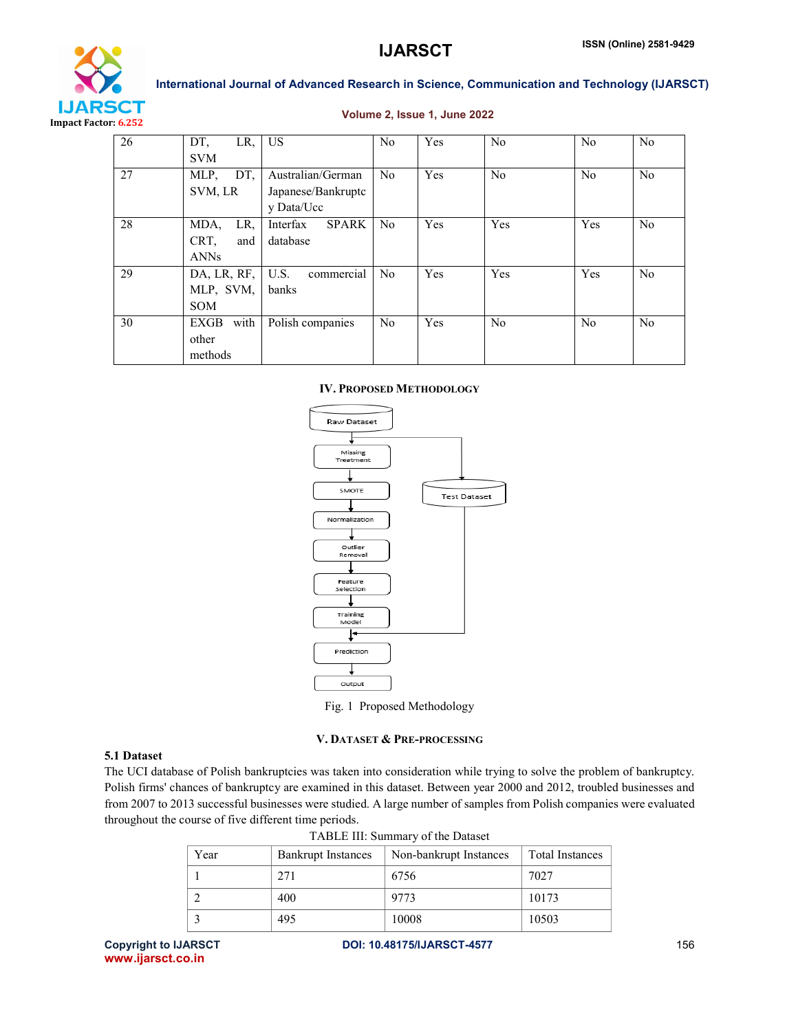



# Volume 2, Issue 1, June 2022

| 26 | $LR, \overline{\phantom{a}}$ US<br>DT, |                          | N <sub>0</sub> | Yes        | N <sub>0</sub> | No             | N <sub>0</sub> |
|----|----------------------------------------|--------------------------|----------------|------------|----------------|----------------|----------------|
|    | <b>SVM</b>                             |                          |                |            |                |                |                |
| 27 | MLP.<br>DT.                            | Australian/German        | N <sub>0</sub> | <b>Yes</b> | N <sub>0</sub> | N <sub>0</sub> | N <sub>0</sub> |
|    | SVM, LR                                | Japanese/Bankruptc       |                |            |                |                |                |
|    |                                        | y Data/Ucc               |                |            |                |                |                |
| 28 | LR,<br>MDA,                            | Interfax<br><b>SPARK</b> | N <sub>0</sub> | <b>Yes</b> | Yes            | Yes            | N <sub>0</sub> |
|    | CRT.<br>and                            | database                 |                |            |                |                |                |
|    | <b>ANNs</b>                            |                          |                |            |                |                |                |
| 29 | DA, LR, RF,                            | U.S.<br>commercial       | N <sub>0</sub> | Yes        | Yes            | Yes            | N <sub>0</sub> |
|    | MLP, SVM,                              | banks                    |                |            |                |                |                |
|    | <b>SOM</b>                             |                          |                |            |                |                |                |
| 30 | with<br><b>EXGB</b>                    | Polish companies         | N <sub>0</sub> | <b>Yes</b> | N <sub>0</sub> | No             | N <sub>0</sub> |
|    | other                                  |                          |                |            |                |                |                |
|    | methods                                |                          |                |            |                |                |                |

#### IV. PROPOSED METHODOLOGY





# V. DATASET & PRE-PROCESSING

### 5.1 Dataset

The UCI database of Polish bankruptcies was taken into consideration while trying to solve the problem of bankruptcy. Polish firms' chances of bankruptcy are examined in this dataset. Between year 2000 and 2012, troubled businesses and from 2007 to 2013 successful businesses were studied. A large number of samples from Polish companies were evaluated throughout the course of five different time periods.

| Year | <b>Bankrupt Instances</b> | Non-bankrupt Instances | <b>Total Instances</b> |
|------|---------------------------|------------------------|------------------------|
|      | 271                       | 6756                   | 7027                   |
|      | 400                       | 9773                   | 10173                  |
|      | 495                       | 10008                  | 10503                  |

| TABLE III: Summary of the Dataset |  |  |  |
|-----------------------------------|--|--|--|
|-----------------------------------|--|--|--|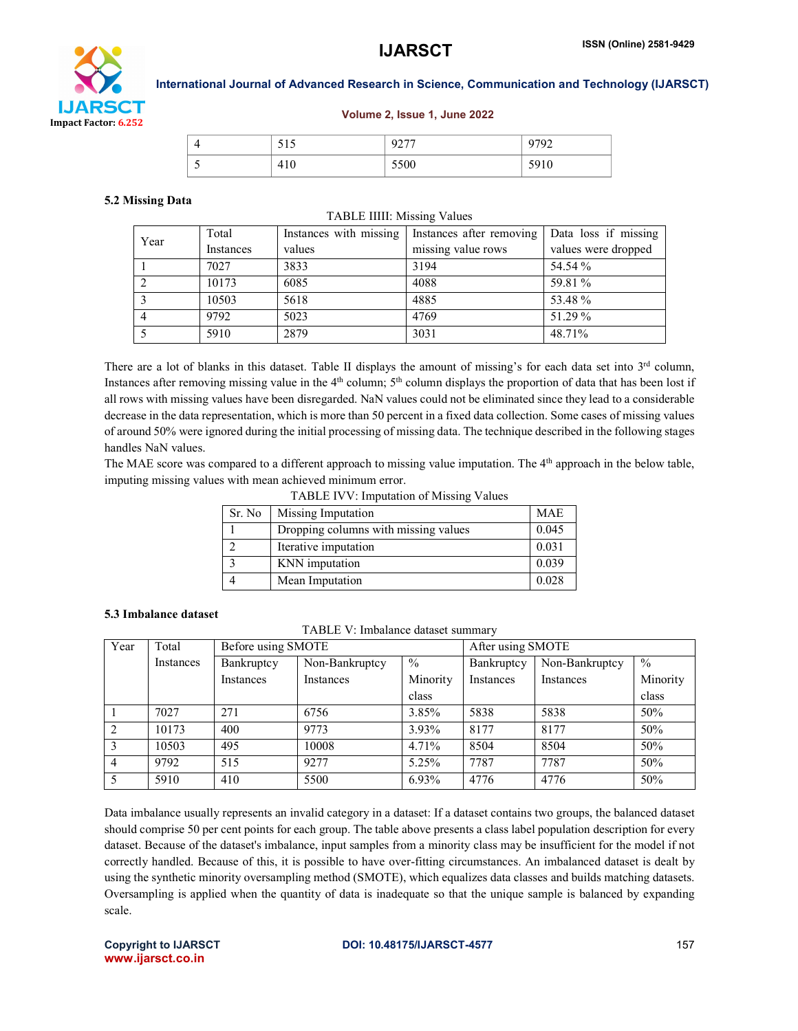

### Volume 2, Issue 1, June 2022

|  | -<br><u>JIJ</u> | $\sim$ $\sim$ $\sim$ $\sim$<br>◡<br>. | 0.700<br>∼ |
|--|-----------------|---------------------------------------|------------|
|  | 41 U            | 5500                                  | 501<br>710 |

#### 5.2 Missing Data

#### TABLE IIIII: Missing Values

| Year | Total     | Instances with missing | Instances after removing | Data loss if missing |
|------|-----------|------------------------|--------------------------|----------------------|
|      | Instances | values                 | missing value rows       | values were dropped  |
|      | 7027      | 3833                   | 3194                     | 54.54 %              |
|      | 10173     | 6085                   | 4088                     | 59.81 %              |
|      | 10503     | 5618                   | 4885                     | 53.48 %              |
| 4    | 9792      | 5023                   | 4769                     | 51.29 %              |
|      | 5910      | 2879                   | 3031                     | 48.71%               |

There are a lot of blanks in this dataset. Table II displays the amount of missing's for each data set into 3<sup>rd</sup> column, Instances after removing missing value in the  $4<sup>th</sup>$  column;  $5<sup>th</sup>$  column displays the proportion of data that has been lost if all rows with missing values have been disregarded. NaN values could not be eliminated since they lead to a considerable decrease in the data representation, which is more than 50 percent in a fixed data collection. Some cases of missing values of around 50% were ignored during the initial processing of missing data. The technique described in the following stages handles NaN values.

The MAE score was compared to a different approach to missing value imputation. The 4<sup>th</sup> approach in the below table, imputing missing values with mean achieved minimum error.

TABLE IVV: Imputation of Missing Values

| Sr. No | Missing Imputation                   | <b>MAE</b> |
|--------|--------------------------------------|------------|
|        | Dropping columns with missing values | 0.045      |
|        | Iterative imputation                 | 0.031      |
|        | KNN imputation                       | 0.039      |
|        | Mean Imputation                      | 0.028      |

#### 5.3 Imbalance dataset

TABLE V: Imbalance dataset summary

| Year | Total     | Before using SMOTE |                |               | After using SMOTE |                |          |
|------|-----------|--------------------|----------------|---------------|-------------------|----------------|----------|
|      | Instances | Bankruptcy         | Non-Bankruptcy | $\frac{0}{0}$ | Bankruptcy        | Non-Bankruptcy | $\%$     |
|      |           | Instances          | Instances      | Minority      | Instances         | Instances      | Minority |
|      |           |                    |                | class         |                   |                | class    |
|      | 7027      | 271                | 6756           | 3.85%         | 5838              | 5838           | 50%      |
|      | 10173     | 400                | 9773           | 3.93%         | 8177              | 8177           | 50%      |
| 3    | 10503     | 495                | 10008          | 4.71%         | 8504              | 8504           | 50%      |
| 4    | 9792      | 515                | 9277           | 5.25%         | 7787              | 7787           | 50%      |
|      | 5910      | 410                | 5500           | 6.93%         | 4776              | 4776           | 50%      |

Data imbalance usually represents an invalid category in a dataset: If a dataset contains two groups, the balanced dataset should comprise 50 per cent points for each group. The table above presents a class label population description for every dataset. Because of the dataset's imbalance, input samples from a minority class may be insufficient for the model if not correctly handled. Because of this, it is possible to have over-fitting circumstances. An imbalanced dataset is dealt by using the synthetic minority oversampling method (SMOTE), which equalizes data classes and builds matching datasets. Oversampling is applied when the quantity of data is inadequate so that the unique sample is balanced by expanding scale.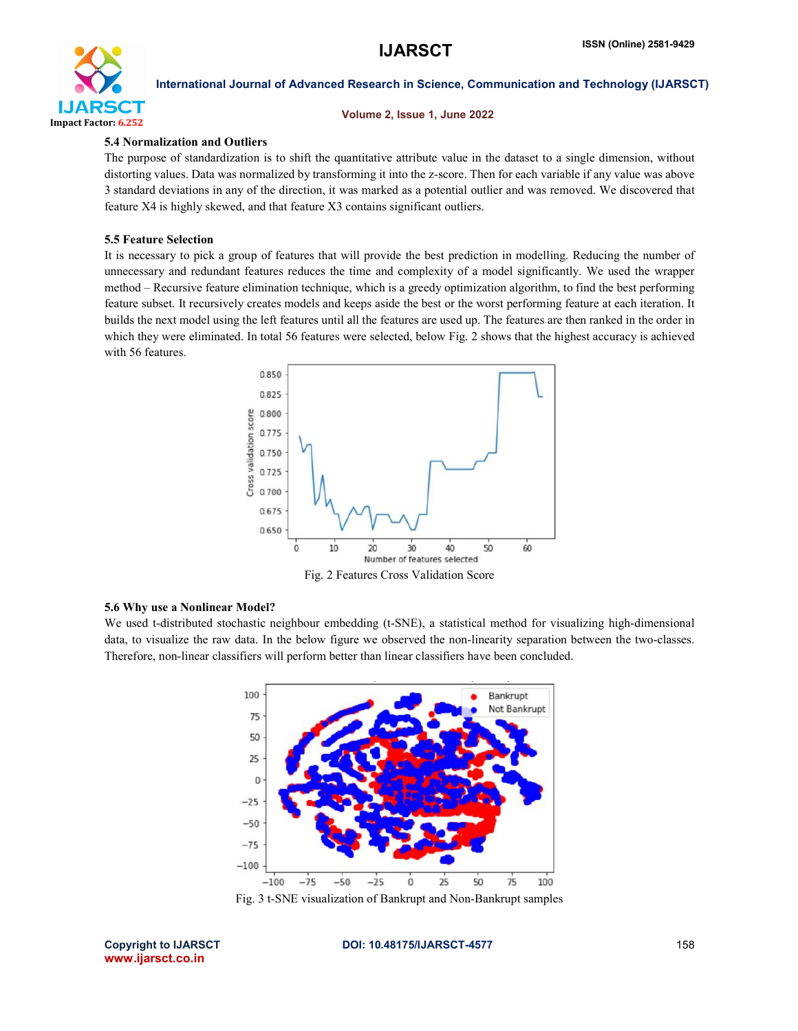

Volume 2, Issue 1, June 2022

## 5.4 Normalization and Outliers

The purpose of standardization is to shift the quantitative attribute value in the dataset to a single dimension, without distorting values. Data was normalized by transforming it into the z-score. Then for each variable if any value was above 3 standard deviations in any of the direction, it was marked as a potential outlier and was removed. We discovered that feature X4 is highly skewed, and that feature X3 contains significant outliers.

# 5.5 Feature Selection

It is necessary to pick a group of features that will provide the best prediction in modelling. Reducing the number of unnecessary and redundant features reduces the time and complexity of a model significantly. We used the wrapper method – Recursive feature elimination technique, which is a greedy optimization algorithm, to find the best performing feature subset. It recursively creates models and keeps aside the best or the worst performing feature at each iteration. It builds the next model using the left features until all the features are used up. The features are then ranked in the order in which they were eliminated. In total 56 features were selected, below Fig. 2 shows that the highest accuracy is achieved with 56 features.



Fig. 2 Features Cross Validation Score

# 5.6 Why use a Nonlinear Model?

We used t-distributed stochastic neighbour embedding (t-SNE), a statistical method for visualizing high-dimensional data, to visualize the raw data. In the below figure we observed the non-linearity separation between the two-classes. Therefore, non-linear classifiers will perform better than linear classifiers have been concluded.



Fig. 3 t-SNE visualization of Bankrupt and Non-Bankrupt samples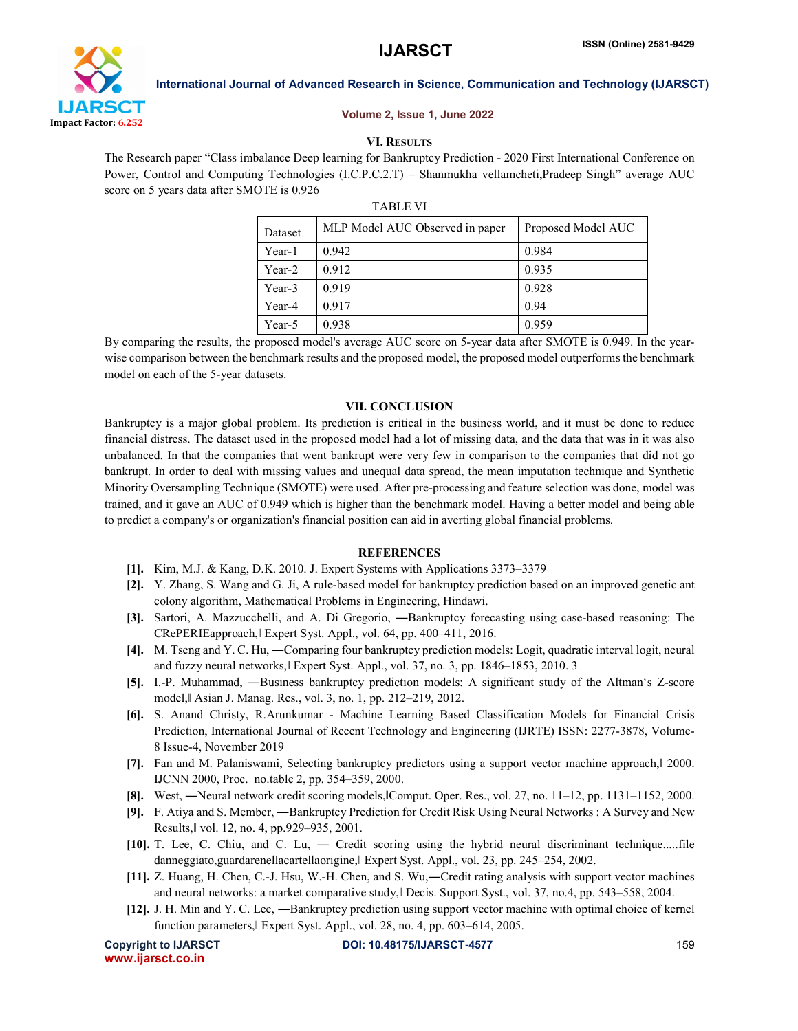

#### Volume 2, Issue 1, June 2022

# VI. RESULTS

The Research paper "Class imbalance Deep learning for Bankruptcy Prediction - 2020 First International Conference on Power, Control and Computing Technologies (I.C.P.C.2.T) – Shanmukha vellamcheti,Pradeep Singh" average AUC score on 5 years data after SMOTE is 0.926

|         | <b>TABLE VI</b>                 |                    |
|---------|---------------------------------|--------------------|
| Dataset | MLP Model AUC Observed in paper | Proposed Model AUC |
| Year-1  | 0.942                           | 0.984              |
| Year-2  | 0.912                           | 0.935              |

By comparing the results, the proposed model's average AUC score on 5-year data after SMOTE is 0.949. In the yearwise comparison between the benchmark results and the proposed model, the proposed model outperforms the benchmark model on each of the 5-year datasets.

Year-3 0.919 0.928 Year-4 | 0.917 | 0.94 Year-5 0.938 0.959

### VII. CONCLUSION

Bankruptcy is a major global problem. Its prediction is critical in the business world, and it must be done to reduce financial distress. The dataset used in the proposed model had a lot of missing data, and the data that was in it was also unbalanced. In that the companies that went bankrupt were very few in comparison to the companies that did not go bankrupt. In order to deal with missing values and unequal data spread, the mean imputation technique and Synthetic Minority Oversampling Technique (SMOTE) were used. After pre-processing and feature selection was done, model was trained, and it gave an AUC of 0.949 which is higher than the benchmark model. Having a better model and being able to predict a company's or organization's financial position can aid in averting global financial problems.

### **REFERENCES**

- [1]. Kim, M.J. & Kang, D.K. 2010. J. Expert Systems with Applications 3373–3379
- [2]. Y. Zhang, S. Wang and G. Ji, A rule-based model for bankruptcy prediction based on an improved genetic ant colony algorithm, Mathematical Problems in Engineering, Hindawi.
- [3]. Sartori, A. Mazzucchelli, and A. Di Gregorio, ―Bankruptcy forecasting using case-based reasoning: The CRePERIEapproach,ǁ Expert Syst. Appl., vol. 64, pp. 400–411, 2016.
- [4]. M. Tseng and Y. C. Hu, ―Comparing four bankruptcy prediction models: Logit, quadratic interval logit, neural and fuzzy neural networks,ǁ Expert Syst. Appl., vol. 37, no. 3, pp. 1846–1853, 2010. 3
- [5]. I.-P. Muhammad, ―Business bankruptcy prediction models: A significant study of the Altman's Z-score model,ǁ Asian J. Manag. Res., vol. 3, no. 1, pp. 212–219, 2012.
- [6]. S. Anand Christy, R.Arunkumar Machine Learning Based Classification Models for Financial Crisis Prediction, International Journal of Recent Technology and Engineering (IJRTE) ISSN: 2277-3878, Volume-8 Issue-4, November 2019
- [7]. Fan and M. Palaniswami, Selecting bankruptcy predictors using a support vector machine approach, 1 2000. IJCNN 2000, Proc. no.table 2, pp. 354–359, 2000.
- [8]. West, —Neural network credit scoring models, Comput. Oper. Res., vol. 27, no. 11–12, pp. 1131–1152, 2000.
- [9]. F. Atiya and S. Member, ―Bankruptcy Prediction for Credit Risk Using Neural Networks : A Survey and New Results,ǁ vol. 12, no. 4, pp.929–935, 2001.
- [10]. T. Lee, C. Chiu, and C. Lu, ― Credit scoring using the hybrid neural discriminant technique.....file danneggiato,guardarenellacartellaorigine, Expert Syst. Appl., vol. 23, pp. 245–254, 2002.
- [11]. Z. Huang, H. Chen, C.-J. Hsu, W.-H. Chen, and S. Wu,―Credit rating analysis with support vector machines and neural networks: a market comparative study, Decis. Support Syst., vol. 37, no.4, pp. 543–558, 2004.
- [12]. J. H. Min and Y. C. Lee, ―Bankruptcy prediction using support vector machine with optimal choice of kernel function parameters, Expert Syst. Appl., vol. 28, no. 4, pp. 603–614, 2005.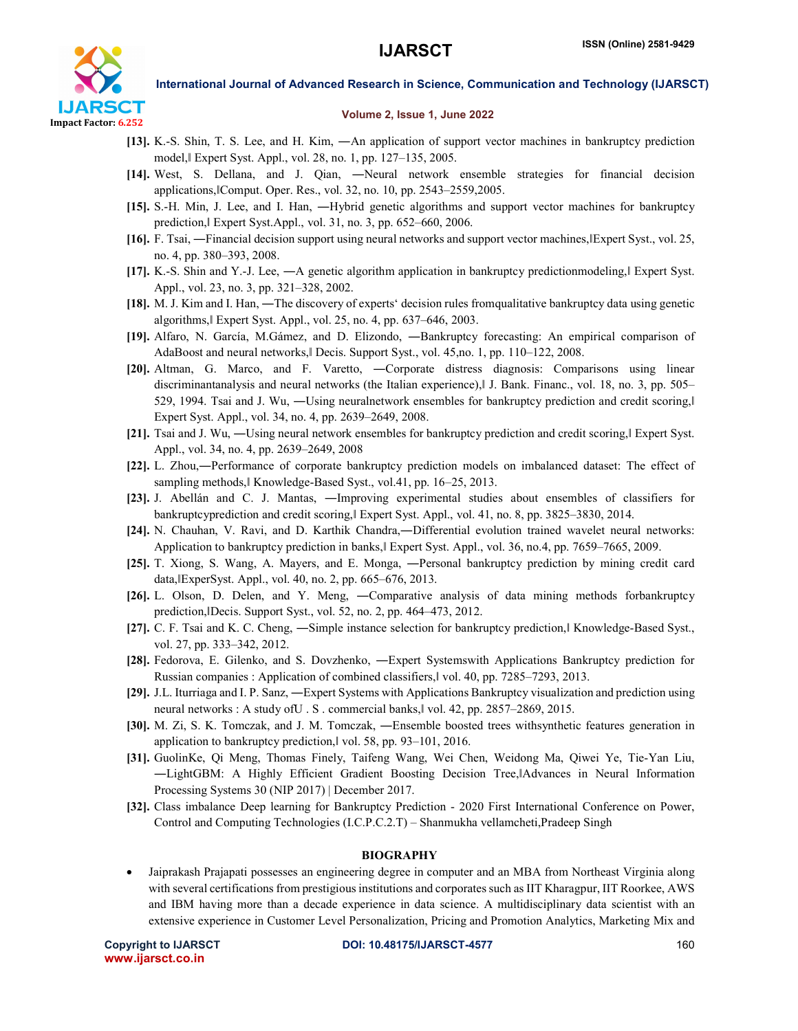

#### Volume 2, Issue 1, June 2022

- [13]. K.-S. Shin, T. S. Lee, and H. Kim, ―An application of support vector machines in bankruptcy prediction model,ǁ Expert Syst. Appl., vol. 28, no. 1, pp. 127–135, 2005.
- [14]. West, S. Dellana, and J. Qian, ―Neural network ensemble strategies for financial decision applications,ǁComput. Oper. Res., vol. 32, no. 10, pp. 2543–2559,2005.
- [15]. S.-H. Min, J. Lee, and I. Han, ―Hybrid genetic algorithms and support vector machines for bankruptcy prediction,ǁ Expert Syst.Appl., vol. 31, no. 3, pp. 652–660, 2006.
- [16]. F. Tsai, —Financial decision support using neural networks and support vector machines, Expert Syst., vol. 25, no. 4, pp. 380–393, 2008.
- [17]. K.-S. Shin and Y.-J. Lee, —A genetic algorithm application in bankruptcy predictionmodeling, Expert Syst. Appl., vol. 23, no. 3, pp. 321–328, 2002.
- [18]. M. J. Kim and I. Han, ―The discovery of experts' decision rules fromqualitative bankruptcy data using genetic algorithms,ǁ Expert Syst. Appl., vol. 25, no. 4, pp. 637–646, 2003.
- [19]. Alfaro, N. García, M.Gámez, and D. Elizondo, ―Bankruptcy forecasting: An empirical comparison of AdaBoost and neural networks, Decis. Support Syst., vol. 45,no. 1, pp. 110–122, 2008.
- [20]. Altman, G. Marco, and F. Varetto, ―Corporate distress diagnosis: Comparisons using linear discriminantanalysis and neural networks (the Italian experience), I J. Bank. Financ., vol. 18, no. 3, pp. 505– 529, 1994. Tsai and J. Wu, —Using neuralnetwork ensembles for bankruptcy prediction and credit scoring, Expert Syst. Appl., vol. 34, no. 4, pp. 2639–2649, 2008.
- [21]. Tsai and J. Wu, —Using neural network ensembles for bankruptcy prediction and credit scoring, Expert Syst. Appl., vol. 34, no. 4, pp. 2639–2649, 2008
- [22]. L. Zhou,—Performance of corporate bankruptcy prediction models on imbalanced dataset: The effect of sampling methods, Knowledge-Based Syst., vol.41, pp. 16–25, 2013.
- [23]. J. Abellán and C. J. Mantas, ―Improving experimental studies about ensembles of classifiers for bankruptcyprediction and credit scoring, Expert Syst. Appl., vol. 41, no. 8, pp. 3825–3830, 2014.
- [24]. N. Chauhan, V. Ravi, and D. Karthik Chandra,―Differential evolution trained wavelet neural networks: Application to bankruptcy prediction in banks, Expert Syst. Appl., vol. 36, no.4, pp. 7659–7665, 2009.
- [25]. T. Xiong, S. Wang, A. Mayers, and E. Monga, ―Personal bankruptcy prediction by mining credit card data,ǁExperSyst. Appl., vol. 40, no. 2, pp. 665–676, 2013.
- [26]. L. Olson, D. Delen, and Y. Meng, ―Comparative analysis of data mining methods forbankruptcy prediction,ǁDecis. Support Syst., vol. 52, no. 2, pp. 464–473, 2012.
- [27]. C. F. Tsai and K. C. Cheng, —Simple instance selection for bankruptcy prediction, Knowledge-Based Syst., vol. 27, pp. 333–342, 2012.
- [28]. Fedorova, E. Gilenko, and S. Dovzhenko, ―Expert Systemswith Applications Bankruptcy prediction for Russian companies : Application of combined classifiers,ǁ vol. 40, pp. 7285–7293, 2013.
- [29]. J.L. Iturriaga and I. P. Sanz, ―Expert Systems with Applications Bankruptcy visualization and prediction using neural networks : A study of U.S. commercial banks, vol. 42, pp. 2857-2869, 2015.
- [30]. M. Zi, S. K. Tomczak, and J. M. Tomczak, ―Ensemble boosted trees withsynthetic features generation in application to bankruptcy prediction,ǁ vol. 58, pp. 93–101, 2016.
- [31]. GuolinKe, Qi Meng, Thomas Finely, Taifeng Wang, Wei Chen, Weidong Ma, Qiwei Ye, Tie-Yan Liu, ―LightGBM: A Highly Efficient Gradient Boosting Decision Tree,ǁAdvances in Neural Information Processing Systems 30 (NIP 2017) | December 2017.
- [32]. Class imbalance Deep learning for Bankruptcy Prediction 2020 First International Conference on Power, Control and Computing Technologies (I.C.P.C.2.T) – Shanmukha vellamcheti,Pradeep Singh

#### BIOGRAPHY

 Jaiprakash Prajapati possesses an engineering degree in computer and an MBA from Northeast Virginia along with several certifications from prestigious institutions and corporates such as IIT Kharagpur, IIT Roorkee, AWS and IBM having more than a decade experience in data science. A multidisciplinary data scientist with an extensive experience in Customer Level Personalization, Pricing and Promotion Analytics, Marketing Mix and